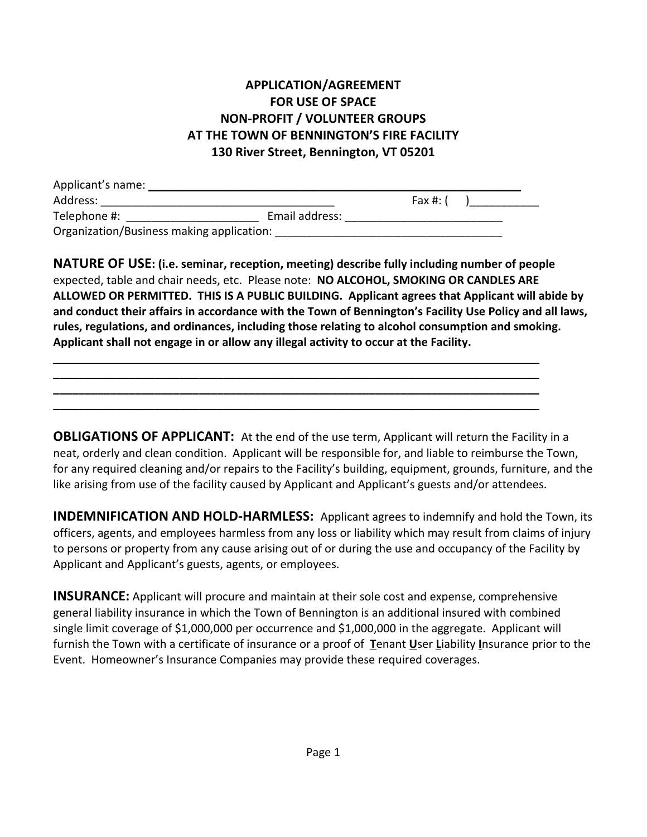## **APPLICATION/AGREEMENT FOR USE OF SPACE NON-PROFIT / VOLUNTEER GROUPS AT THE TOWN OF BENNINGTON'S FIRE FACILITY 130 River Street, Bennington, VT 05201**

| Applicant's name:                         |                |          |  |
|-------------------------------------------|----------------|----------|--|
| Address:                                  |                | Fax #: ( |  |
| Telephone #:                              | Email address: |          |  |
| Organization/Business making application: |                |          |  |

\_\_\_\_\_\_\_\_\_\_\_\_\_\_\_\_\_\_\_\_\_\_\_\_\_\_\_\_\_\_\_\_\_\_\_\_\_\_\_\_\_\_\_\_\_\_\_\_\_\_\_\_\_\_\_\_\_\_\_\_\_\_\_\_\_\_\_\_\_\_\_\_\_\_\_\_\_ **\_\_\_\_\_\_\_\_\_\_\_\_\_\_\_\_\_\_\_\_\_\_\_\_\_\_\_\_\_\_\_\_\_\_\_\_\_\_\_\_\_\_\_\_\_\_\_\_\_\_\_\_\_\_\_\_\_\_\_\_\_\_\_\_\_\_\_\_\_\_\_\_\_\_\_\_\_ \_\_\_\_\_\_\_\_\_\_\_\_\_\_\_\_\_\_\_\_\_\_\_\_\_\_\_\_\_\_\_\_\_\_\_\_\_\_\_\_\_\_\_\_\_\_\_\_\_\_\_\_\_\_\_\_\_\_\_\_\_\_\_\_\_\_\_\_\_\_\_\_\_\_\_\_\_ \_\_\_\_\_\_\_\_\_\_\_\_\_\_\_\_\_\_\_\_\_\_\_\_\_\_\_\_\_\_\_\_\_\_\_\_\_\_\_\_\_\_\_\_\_\_\_\_\_\_\_\_\_\_\_\_\_\_\_\_\_\_\_\_\_\_\_\_\_\_\_\_\_\_\_\_\_**

**NATURE OF USE: (i.e. seminar, reception, meeting) describe fully including number of people** expected, table and chair needs, etc. Please note: **NO ALCOHOL, SMOKING OR CANDLES ARE ALLOWED OR PERMITTED. THIS IS A PUBLIC BUILDING. Applicant agrees that Applicant will abide by and conduct their affairs in accordance with the Town of Bennington's Facility Use Policy and all laws, rules, regulations, and ordinances, including those relating to alcohol consumption and smoking. Applicant shall not engage in or allow any illegal activity to occur at the Facility.**

**OBLIGATIONS OF APPLICANT:** At the end of the use term, Applicant will return the Facility in a neat, orderly and clean condition. Applicant will be responsible for, and liable to reimburse the Town, for any required cleaning and/or repairs to the Facility's building, equipment, grounds, furniture, and the like arising from use of the facility caused by Applicant and Applicant's guests and/or attendees.

**INDEMNIFICATION AND HOLD-HARMLESS:** Applicant agrees to indemnify and hold the Town, its officers, agents, and employees harmless from any loss or liability which may result from claims of injury to persons or property from any cause arising out of or during the use and occupancy of the Facility by Applicant and Applicant's guests, agents, or employees.

**INSURANCE:** Applicant will procure and maintain at their sole cost and expense, comprehensive general liability insurance in which the Town of Bennington is an additional insured with combined single limit coverage of \$1,000,000 per occurrence and \$1,000,000 in the aggregate. Applicant will furnish the Town with a certificate of insurance or a proof of **T**enant **U**ser **L**iability **I**nsurance prior to the Event. Homeowner's Insurance Companies may provide these required coverages.